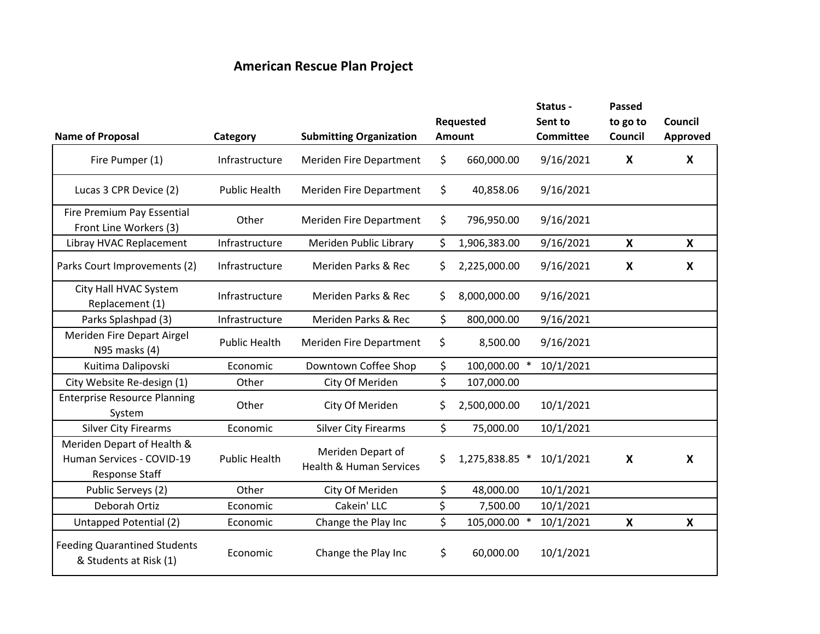## **American Rescue Plan Project**

|                                                                           |                      |                                                         |                            | Status -                    | Passed                    |                            |  |
|---------------------------------------------------------------------------|----------------------|---------------------------------------------------------|----------------------------|-----------------------------|---------------------------|----------------------------|--|
| <b>Name of Proposal</b>                                                   | Category             | <b>Submitting Organization</b>                          | Requested<br><b>Amount</b> | Sent to<br><b>Committee</b> | to go to<br>Council       | Council<br><b>Approved</b> |  |
| Fire Pumper (1)                                                           | Infrastructure       | <b>Meriden Fire Department</b>                          | \$<br>660,000.00           | 9/16/2021                   | $\boldsymbol{X}$          | $\boldsymbol{X}$           |  |
| Lucas 3 CPR Device (2)                                                    | <b>Public Health</b> | <b>Meriden Fire Department</b>                          | \$<br>40,858.06            | 9/16/2021                   |                           |                            |  |
| Fire Premium Pay Essential<br>Front Line Workers (3)                      | Other                | <b>Meriden Fire Department</b>                          | \$<br>796,950.00           | 9/16/2021                   |                           |                            |  |
| Libray HVAC Replacement                                                   | Infrastructure       | Meriden Public Library                                  | \$<br>1,906,383.00         | 9/16/2021                   | $\boldsymbol{X}$          | X                          |  |
| Parks Court Improvements (2)                                              | Infrastructure       | Meriden Parks & Rec                                     | \$<br>2,225,000.00         | 9/16/2021                   | $\boldsymbol{\mathsf{X}}$ | $\boldsymbol{X}$           |  |
| City Hall HVAC System<br>Replacement (1)                                  | Infrastructure       | Meriden Parks & Rec                                     | \$<br>8,000,000.00         | 9/16/2021                   |                           |                            |  |
| Parks Splashpad (3)                                                       | Infrastructure       | Meriden Parks & Rec                                     | \$<br>800,000.00           | 9/16/2021                   |                           |                            |  |
| Meriden Fire Depart Airgel<br>N95 masks (4)                               | <b>Public Health</b> | Meriden Fire Department                                 | \$<br>8,500.00             | 9/16/2021                   |                           |                            |  |
| Kuitima Dalipovski                                                        | Economic             | Downtown Coffee Shop                                    | \$<br>100,000.00 *         | 10/1/2021                   |                           |                            |  |
| City Website Re-design (1)                                                | Other                | City Of Meriden                                         | \$<br>107,000.00           |                             |                           |                            |  |
| <b>Enterprise Resource Planning</b><br>System                             | Other                | City Of Meriden                                         | \$<br>2,500,000.00         | 10/1/2021                   |                           |                            |  |
| <b>Silver City Firearms</b>                                               | Economic             | <b>Silver City Firearms</b>                             | \$<br>75,000.00            | 10/1/2021                   |                           |                            |  |
| Meriden Depart of Health &<br>Human Services - COVID-19<br>Response Staff | <b>Public Health</b> | Meriden Depart of<br><b>Health &amp; Human Services</b> | \$<br>1,275,838.85 *       | 10/1/2021                   | X                         | X                          |  |
| Public Serveys (2)                                                        | Other                | City Of Meriden                                         | \$<br>48,000.00            | 10/1/2021                   |                           |                            |  |
| Deborah Ortiz                                                             | Economic             | Cakein' LLC                                             | \$<br>7,500.00             | 10/1/2021                   |                           |                            |  |
| Untapped Potential (2)                                                    | Economic             | Change the Play Inc                                     | \$<br>105,000.00 *         | 10/1/2021                   | $\boldsymbol{X}$          | X                          |  |
| <b>Feeding Quarantined Students</b><br>& Students at Risk (1)             | Economic             | Change the Play Inc                                     | \$<br>60,000.00            | 10/1/2021                   |                           |                            |  |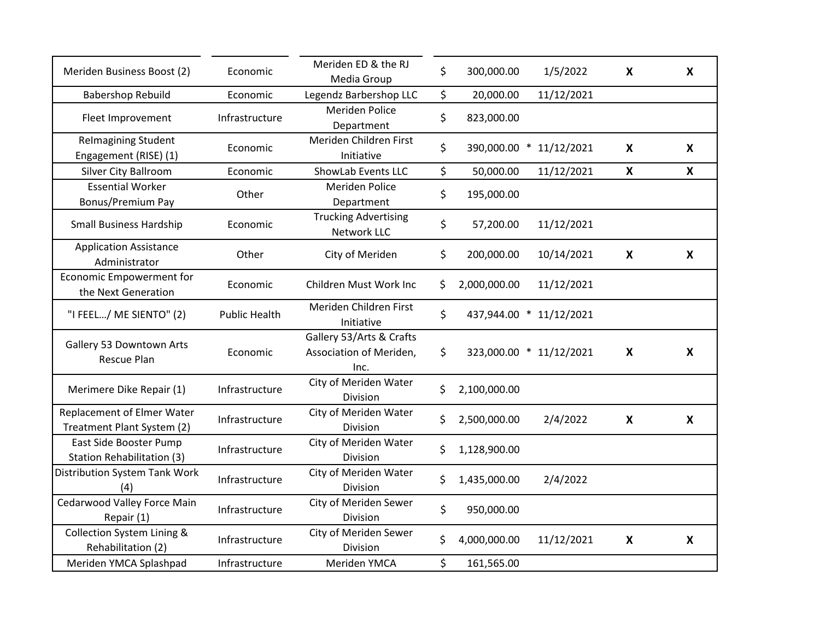| Meriden Business Boost (2)                                  | Economic             | Meriden ED & the RJ<br>Media Group                          | \$<br>300,000.00   | 1/5/2022                | X                         | X                         |
|-------------------------------------------------------------|----------------------|-------------------------------------------------------------|--------------------|-------------------------|---------------------------|---------------------------|
| <b>Babershop Rebuild</b>                                    | Economic             | Legendz Barbershop LLC                                      | \$<br>20,000.00    | 11/12/2021              |                           |                           |
| Fleet Improvement                                           | Infrastructure       | <b>Meriden Police</b><br>Department                         | \$<br>823,000.00   |                         |                           |                           |
| <b>Relmagining Student</b><br>Engagement (RISE) (1)         | Economic             | Meriden Children First<br>Initiative                        | \$<br>390,000.00 * | 11/12/2021              | X                         | $\boldsymbol{\mathsf{X}}$ |
| Silver City Ballroom                                        | Economic             | ShowLab Events LLC                                          | \$<br>50,000.00    | 11/12/2021              | $\boldsymbol{\mathsf{X}}$ | $\boldsymbol{\mathsf{X}}$ |
| <b>Essential Worker</b><br>Bonus/Premium Pay                | Other                | <b>Meriden Police</b><br>Department                         | \$<br>195,000.00   |                         |                           |                           |
| <b>Small Business Hardship</b>                              | Economic             | <b>Trucking Advertising</b><br>Network LLC                  | \$<br>57,200.00    | 11/12/2021              |                           |                           |
| <b>Application Assistance</b><br>Administrator              | Other                | City of Meriden                                             | \$<br>200,000.00   | 10/14/2021              | X                         | X                         |
| Economic Empowerment for<br>the Next Generation             | Economic             | Children Must Work Inc                                      | \$<br>2,000,000.00 | 11/12/2021              |                           |                           |
| "I FEEL/ ME SIENTO" (2)                                     | <b>Public Health</b> | Meriden Children First<br>Initiative                        | \$<br>437,944.00 * | 11/12/2021              |                           |                           |
| Gallery 53 Downtown Arts<br><b>Rescue Plan</b>              | Economic             | Gallery 53/Arts & Crafts<br>Association of Meriden,<br>Inc. | \$                 | 323,000.00 * 11/12/2021 | X                         | X                         |
| Merimere Dike Repair (1)                                    | Infrastructure       | City of Meriden Water<br><b>Division</b>                    | \$<br>2,100,000.00 |                         |                           |                           |
| Replacement of Elmer Water<br>Treatment Plant System (2)    | Infrastructure       | City of Meriden Water<br>Division                           | \$<br>2,500,000.00 | 2/4/2022                | X                         | X                         |
| East Side Booster Pump<br><b>Station Rehabilitation (3)</b> | Infrastructure       | City of Meriden Water<br>Division                           | \$<br>1,128,900.00 |                         |                           |                           |
| Distribution System Tank Work<br>(4)                        | Infrastructure       | City of Meriden Water<br>Division                           | \$<br>1,435,000.00 | 2/4/2022                |                           |                           |
| Cedarwood Valley Force Main<br>Repair (1)                   | Infrastructure       | City of Meriden Sewer<br>Division                           | \$<br>950,000.00   |                         |                           |                           |
| Collection System Lining &<br>Rehabilitation (2)            | Infrastructure       | City of Meriden Sewer<br>Division                           | \$<br>4,000,000.00 | 11/12/2021              | X                         | X                         |
| Meriden YMCA Splashpad                                      | Infrastructure       | Meriden YMCA                                                | \$<br>161,565.00   |                         |                           |                           |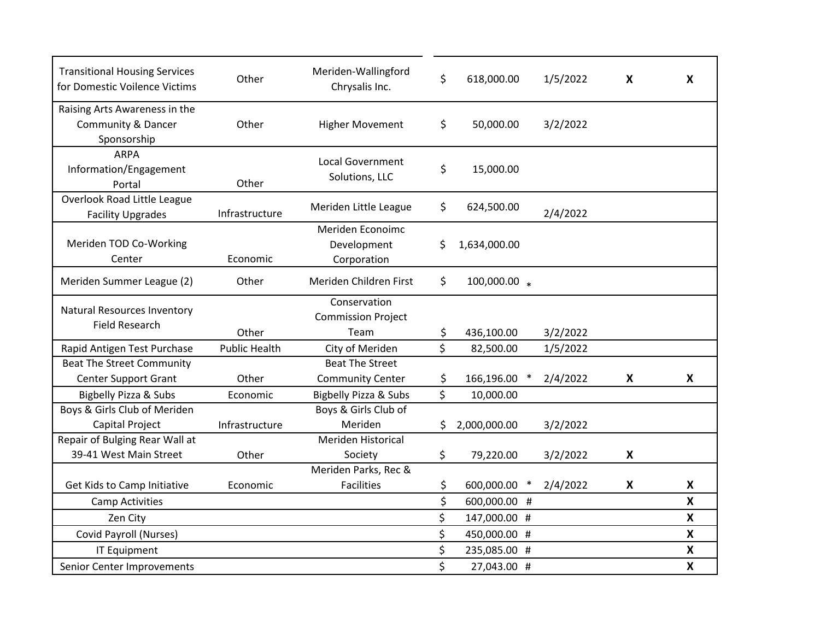| <b>Transitional Housing Services</b><br>for Domestic Voilence Victims         | Other                | Meriden-Wallingford<br>Chrysalis Inc.             | \$  | 618,000.00   |        | 1/5/2022 | X                         | X                         |
|-------------------------------------------------------------------------------|----------------------|---------------------------------------------------|-----|--------------|--------|----------|---------------------------|---------------------------|
| Raising Arts Awareness in the<br><b>Community &amp; Dancer</b><br>Sponsorship | Other                | <b>Higher Movement</b>                            | \$  | 50,000.00    |        | 3/2/2022 |                           |                           |
| <b>ARPA</b><br>Information/Engagement<br>Portal                               | Other                | <b>Local Government</b><br>Solutions, LLC         | \$  | 15,000.00    |        |          |                           |                           |
| Overlook Road Little League<br><b>Facility Upgrades</b>                       | Infrastructure       | Meriden Little League                             | \$  | 624,500.00   |        | 2/4/2022 |                           |                           |
| Meriden TOD Co-Working<br>Center                                              | Economic             | Meriden Econoimc<br>Development<br>Corporation    | \$  | 1,634,000.00 |        |          |                           |                           |
| Meriden Summer League (2)                                                     | Other                | Meriden Children First                            | \$. | 100,000.00 * |        |          |                           |                           |
| <b>Natural Resources Inventory</b><br><b>Field Research</b>                   | Other                | Conservation<br><b>Commission Project</b><br>Team | \$  | 436,100.00   |        | 3/2/2022 |                           |                           |
| Rapid Antigen Test Purchase                                                   | <b>Public Health</b> | City of Meriden                                   | \$  | 82,500.00    |        | 1/5/2022 |                           |                           |
| <b>Beat The Street Community</b>                                              |                      | <b>Beat The Street</b>                            |     |              |        |          |                           |                           |
| <b>Center Support Grant</b>                                                   | Other                | <b>Community Center</b>                           | \$  | 166,196.00   |        | 2/4/2022 | X                         | X                         |
| Bigbelly Pizza & Subs                                                         | Economic             | Bigbelly Pizza & Subs                             | \$  | 10,000.00    |        |          |                           |                           |
| Boys & Girls Club of Meriden                                                  |                      | Boys & Girls Club of                              |     |              |        |          |                           |                           |
| Capital Project                                                               | Infrastructure       | Meriden                                           | \$. | 2,000,000.00 |        | 3/2/2022 |                           |                           |
| Repair of Bulging Rear Wall at                                                |                      | Meriden Historical                                |     |              |        |          |                           |                           |
| 39-41 West Main Street                                                        | Other                | Society                                           | \$  | 79,220.00    |        | 3/2/2022 | X                         |                           |
|                                                                               |                      | Meriden Parks, Rec &                              |     |              |        |          |                           |                           |
| Get Kids to Camp Initiative                                                   | Economic             | <b>Facilities</b>                                 | \$. | 600,000.00   | $\ast$ | 2/4/2022 | $\boldsymbol{\mathsf{X}}$ | $\boldsymbol{\mathsf{X}}$ |
| <b>Camp Activities</b>                                                        |                      |                                                   | \$  | 600,000.00 # |        |          |                           | X                         |
| Zen City                                                                      |                      |                                                   | \$  | 147,000.00 # |        |          |                           | $\boldsymbol{\mathsf{x}}$ |
| Covid Payroll (Nurses)                                                        |                      |                                                   | \$  | 450,000.00 # |        |          |                           | X                         |
| <b>IT Equipment</b>                                                           |                      |                                                   | \$  | 235,085.00 # |        |          |                           | X                         |
| Senior Center Improvements                                                    |                      |                                                   | \$  | 27,043.00 #  |        |          |                           | X                         |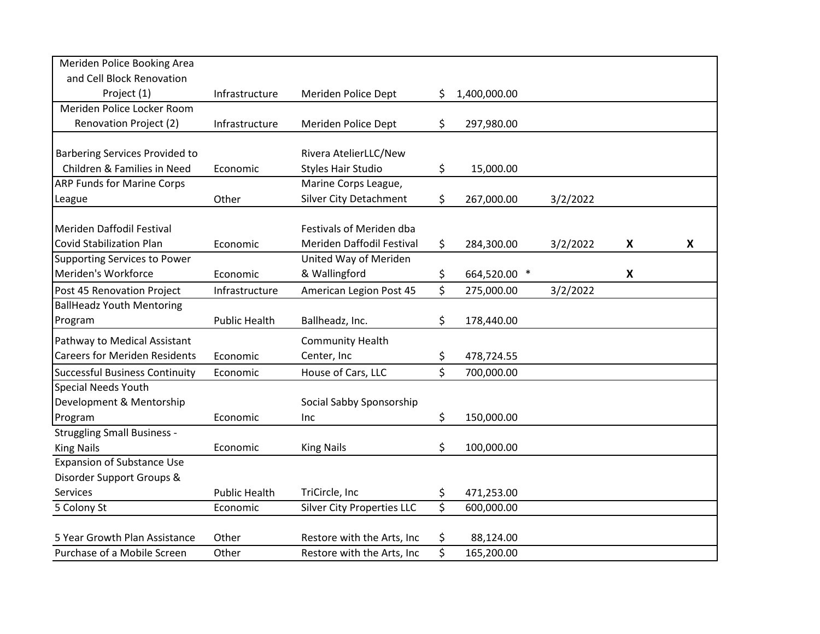| Meriden Police Booking Area                                  |                      |                                                          |          |                         |          |   |   |
|--------------------------------------------------------------|----------------------|----------------------------------------------------------|----------|-------------------------|----------|---|---|
| and Cell Block Renovation                                    |                      |                                                          |          |                         |          |   |   |
| Project (1)                                                  | Infrastructure       | Meriden Police Dept                                      | S.       | 1,400,000.00            |          |   |   |
| Meriden Police Locker Room                                   |                      |                                                          |          |                         |          |   |   |
| Renovation Project (2)                                       | Infrastructure       | Meriden Police Dept                                      | \$       | 297,980.00              |          |   |   |
|                                                              |                      |                                                          |          |                         |          |   |   |
| <b>Barbering Services Provided to</b>                        |                      | Rivera AtelierLLC/New                                    |          |                         |          |   |   |
| Children & Families in Need                                  | Economic             | <b>Styles Hair Studio</b>                                | \$       | 15,000.00               |          |   |   |
| <b>ARP Funds for Marine Corps</b>                            |                      | Marine Corps League,                                     |          |                         |          |   |   |
| League                                                       | Other                | <b>Silver City Detachment</b>                            | \$       | 267,000.00              | 3/2/2022 |   |   |
|                                                              |                      |                                                          |          |                         |          |   |   |
| Meriden Daffodil Festival                                    |                      | Festivals of Meriden dba                                 |          |                         |          |   |   |
| <b>Covid Stabilization Plan</b>                              | Economic             | Meriden Daffodil Festival                                | \$       | 284,300.00              | 3/2/2022 | X | Χ |
| Supporting Services to Power                                 |                      | United Way of Meriden                                    |          |                         |          |   |   |
| Meriden's Workforce                                          | Economic             | & Wallingford                                            | \$       | 664,520.00 *            |          | X |   |
| Post 45 Renovation Project                                   | Infrastructure       | American Legion Post 45                                  | \$       | 275,000.00              | 3/2/2022 |   |   |
| <b>BallHeadz Youth Mentoring</b>                             |                      |                                                          |          |                         |          |   |   |
| Program                                                      | <b>Public Health</b> | Ballheadz, Inc.                                          | \$       | 178,440.00              |          |   |   |
| Pathway to Medical Assistant                                 |                      | <b>Community Health</b>                                  |          |                         |          |   |   |
| <b>Careers for Meriden Residents</b>                         | Economic             | Center, Inc                                              | \$       | 478,724.55              |          |   |   |
| <b>Successful Business Continuity</b>                        | Economic             | House of Cars, LLC                                       | \$       | 700,000.00              |          |   |   |
| Special Needs Youth                                          |                      |                                                          |          |                         |          |   |   |
| Development & Mentorship                                     |                      | Social Sabby Sponsorship                                 |          |                         |          |   |   |
| Program                                                      | Economic             | Inc.                                                     | \$       | 150,000.00              |          |   |   |
| <b>Struggling Small Business -</b>                           |                      |                                                          |          |                         |          |   |   |
| <b>King Nails</b>                                            | Economic             | <b>King Nails</b>                                        | \$       | 100,000.00              |          |   |   |
| <b>Expansion of Substance Use</b>                            |                      |                                                          |          |                         |          |   |   |
|                                                              |                      |                                                          |          |                         |          |   |   |
|                                                              |                      |                                                          |          |                         |          |   |   |
| Disorder Support Groups &<br><b>Services</b>                 | <b>Public Health</b> | TriCircle, Inc                                           | \$       | 471,253.00              |          |   |   |
| 5 Colony St                                                  | Economic             | <b>Silver City Properties LLC</b>                        | \$       | 600,000.00              |          |   |   |
|                                                              |                      |                                                          |          |                         |          |   |   |
| 5 Year Growth Plan Assistance<br>Purchase of a Mobile Screen | Other<br>Other       | Restore with the Arts, Inc<br>Restore with the Arts, Inc | \$<br>\$ | 88,124.00<br>165,200.00 |          |   |   |